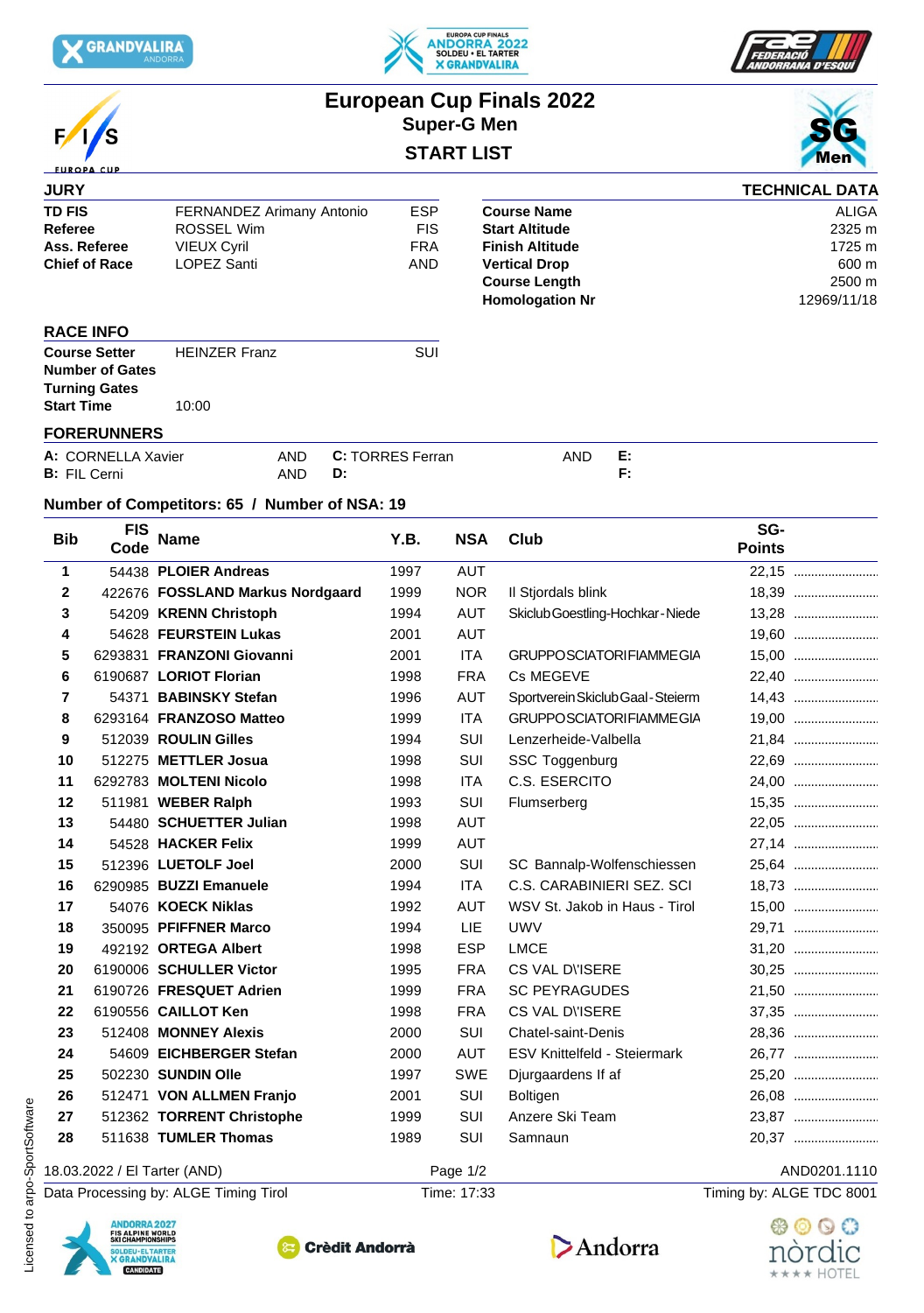



**European Cup Finals 2022**



|                          |                           |            | <b>Super-G Men</b> |                        |    |                       |  |
|--------------------------|---------------------------|------------|--------------------|------------------------|----|-----------------------|--|
| F/S<br><b>EUROPA CUP</b> |                           |            | <b>START LIST</b>  | <b>Men</b>             |    |                       |  |
| <b>JURY</b>              |                           |            |                    |                        |    | <b>TECHNICAL DATA</b> |  |
| <b>TD FIS</b>            | FERNANDEZ Arimany Antonio |            | <b>ESP</b>         | <b>Course Name</b>     |    | <b>ALIGA</b>          |  |
| Referee                  | ROSSEL Wim                |            | <b>FIS</b>         | <b>Start Altitude</b>  |    | 2325 m                |  |
| Ass. Referee             | <b>VIEUX Cyril</b>        |            | <b>FRA</b>         | <b>Finish Altitude</b> |    | 1725 m                |  |
| <b>Chief of Race</b>     | LOPEZ Santi               |            | AND                | <b>Vertical Drop</b>   |    | 600 m                 |  |
|                          |                           |            |                    | <b>Course Length</b>   |    | 2500 m                |  |
|                          |                           |            |                    | <b>Homologation Nr</b> |    | 12969/11/18           |  |
| <b>RACE INFO</b>         |                           |            |                    |                        |    |                       |  |
| <b>Course Setter</b>     | <b>HEINZER Franz</b>      |            | SUI                |                        |    |                       |  |
| <b>Number of Gates</b>   |                           |            |                    |                        |    |                       |  |
| <b>Turning Gates</b>     |                           |            |                    |                        |    |                       |  |
| <b>Start Time</b>        | 10:00                     |            |                    |                        |    |                       |  |
| <b>FORERUNNERS</b>       |                           |            |                    |                        |    |                       |  |
| A: CORNELLA Xavier       |                           | <b>AND</b> | C: TORRES Ferran   | AND                    | E: |                       |  |
| <b>B:</b> FIL Cerni      |                           | AND        | D:                 |                        | F: |                       |  |

## **Number of Competitors: 65 / Number of NSA: 19**

| 1<br>$\mathbf{2}$<br>3<br>4<br>5<br>6                                                                             | 54438 PLOIER Andreas<br>422676 FOSSLAND Markus Nordgaard<br>54209 KRENN Christoph<br>54628 FEURSTEIN Lukas | 1997<br>1999<br>1994 | <b>AUT</b><br><b>NOR</b> |                                     | 22,15                    |
|-------------------------------------------------------------------------------------------------------------------|------------------------------------------------------------------------------------------------------------|----------------------|--------------------------|-------------------------------------|--------------------------|
|                                                                                                                   |                                                                                                            |                      |                          |                                     |                          |
|                                                                                                                   |                                                                                                            |                      |                          | Il Stjordals blink                  | 18,39                    |
|                                                                                                                   |                                                                                                            |                      | <b>AUT</b>               | Skiclub Goestling-Hochkar-Niede     | 13,28                    |
|                                                                                                                   |                                                                                                            | 2001                 | AUT                      |                                     | 19,60                    |
|                                                                                                                   | 6293831 FRANZONI Giovanni                                                                                  | 2001                 | <b>ITA</b>               | <b>GRUPPOSCIATORIFIAMMEGIA</b>      |                          |
|                                                                                                                   | 6190687 LORIOT Florian                                                                                     | 1998                 | <b>FRA</b>               | Cs MEGEVE                           | 22,40                    |
| $\overline{7}$                                                                                                    | 54371 BABINSKY Stefan                                                                                      | 1996                 | <b>AUT</b>               | Sportverein Skiclub Gaal - Steierm  | 14,43                    |
| 8                                                                                                                 | 6293164 FRANZOSO Matteo                                                                                    | 1999                 | <b>ITA</b>               | <b>GRUPPOSCIATORIFIAMMEGIA</b>      | 19,00                    |
| 9                                                                                                                 | 512039 ROULIN Gilles                                                                                       | 1994                 | SUI                      | Lenzerheide-Valbella                | 21,84                    |
| 10                                                                                                                | 512275 METTLER Josua                                                                                       | 1998                 | SUI                      | SSC Toggenburg                      | 22,69                    |
| 11                                                                                                                | 6292783 MOLTENI Nicolo                                                                                     | 1998                 | <b>ITA</b>               | C.S. ESERCITO                       |                          |
| 12                                                                                                                | 511981 WEBER Ralph                                                                                         | 1993                 | SUI                      | Flumserberg                         | 15,35                    |
| 13                                                                                                                | 54480 SCHUETTER Julian                                                                                     | 1998                 | <b>AUT</b>               |                                     | 22,05                    |
| 14                                                                                                                | 54528 HACKER Felix                                                                                         | 1999                 | <b>AUT</b>               |                                     | 27,14                    |
| 15                                                                                                                | 512396 LUETOLF Joel                                                                                        | 2000                 | SUI                      | SC Bannalp-Wolfenschiessen          | 25,64                    |
| 16                                                                                                                | 6290985 BUZZI Emanuele                                                                                     | 1994                 | <b>ITA</b>               | C.S. CARABINIERI SEZ. SCI           | 18,73                    |
| 17                                                                                                                | 54076 KOECK Niklas                                                                                         | 1992                 | AUT                      | WSV St. Jakob in Haus - Tirol       | 15,00                    |
| 18                                                                                                                | 350095 PFIFFNER Marco                                                                                      | 1994                 | LIE.                     | <b>UWV</b>                          | 29,71                    |
| 19                                                                                                                | 492192 ORTEGA Albert                                                                                       | 1998                 | <b>ESP</b>               | <b>LMCE</b>                         |                          |
| 20                                                                                                                | 6190006 SCHULLER Victor                                                                                    | 1995                 | <b>FRA</b>               | CS VAL DISERE                       | 30,25                    |
| 21                                                                                                                | 6190726 FRESQUET Adrien                                                                                    | 1999                 | <b>FRA</b>               | <b>SC PEYRAGUDES</b>                | 21,50                    |
| 22                                                                                                                | 6190556 CAILLOT Ken                                                                                        | 1998                 | <b>FRA</b>               | CS VAL DISERE                       | 37,35                    |
| 23                                                                                                                | 512408 MONNEY Alexis                                                                                       | 2000                 | SUI                      | Chatel-saint-Denis                  | 28,36                    |
| 24                                                                                                                | 54609 EICHBERGER Stefan                                                                                    | 2000                 | <b>AUT</b>               | <b>ESV Knittelfeld - Steiermark</b> | 26,77                    |
| 25                                                                                                                | 502230 SUNDIN Olle                                                                                         | 1997                 | SWE                      | Djurgaardens If af                  |                          |
| 26                                                                                                                | 512471 VON ALLMEN Franjo                                                                                   | 2001                 | SUI                      | Boltigen                            | 26,08                    |
| 27                                                                                                                | 512362 TORRENT Christophe                                                                                  | 1999                 | SUI                      | Anzere Ski Team                     | 23,87                    |
| 28                                                                                                                | 511638 TUMLER Thomas                                                                                       | 1989                 | SUI                      | Samnaun                             | 20,37                    |
| 18.03.2022 / El Tarter (AND)                                                                                      |                                                                                                            |                      | Page 1/2                 |                                     | AND0201.1110             |
|                                                                                                                   | Data Processing by: ALGE Timing Tirol                                                                      |                      | Time: 17:33              |                                     | Timing by: ALGE TDC 8001 |
| <b>ANDORRA 2027</b><br><b>FIS ALPINE WORLD</b><br>SKI CHAMPIONSHIPS<br>SOLDEU - EL TARTER<br><b>X GRANDVALIRA</b> | <b>Crèdit Andorrà</b>                                                                                      |                      |                          | Andorra                             | nordic                   |